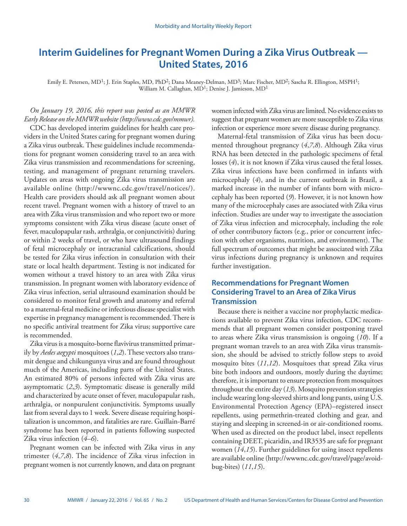# **Interim Guidelines for Pregnant Women During a Zika Virus Outbreak — United States, 2016**

Emily E. Petersen, MD<sup>1</sup>; J. Erin Staples, MD, PhD<sup>2</sup>; Dana Meaney-Delman, MD<sup>3</sup>; Marc Fischer, MD<sup>2</sup>; Sascha R. Ellington, MSPH<sup>1</sup>; William M. Callaghan, MD<sup>1</sup>; Denise J. Jamieson, MD<sup>1</sup>

*On January 19, 2016, this report was posted as an MMWR Early Release on the MMWR website [\(http://www.cdc.gov/mmwr](http://www.cdc.gov/mmwr)).* CDC has developed interim guidelines for health care providers in the United States caring for pregnant women during a Zika virus outbreak. These guidelines include recommendations for pregnant women considering travel to an area with Zika virus transmission and recommendations for screening, testing, and management of pregnant returning travelers. Updates on areas with ongoing Zika virus transmission are available online ([http://wwwnc.cdc.gov/travel/notices/\)](http://wwwnc.cdc.gov/travel/notices/). Health care providers should ask all pregnant women about recent travel. Pregnant women with a history of travel to an area with Zika virus transmission and who report two or more symptoms consistent with Zika virus disease (acute onset of fever, maculopapular rash, arthralgia, or conjunctivitis) during or within 2 weeks of travel, or who have ultrasound findings of fetal microcephaly or intracranial calcifications, should be tested for Zika virus infection in consultation with their state or local health department. Testing is not indicated for women without a travel history to an area with Zika virus transmission. In pregnant women with laboratory evidence of Zika virus infection, serial ultrasound examination should be considered to monitor fetal growth and anatomy and referral to a maternal-fetal medicine or infectious disease specialist with expertise in pregnancy management is recommended. There is no specific antiviral treatment for Zika virus; supportive care is recommended.

Zika virus is a mosquito-borne flavivirus transmitted primarily by *Aedes aegypti* mosquitoes (*1*,*2*). These vectors also transmit dengue and chikungunya virus and are found throughout much of the Americas, including parts of the United States. An estimated 80% of persons infected with Zika virus are asymptomatic (*2*,*3*). Symptomatic disease is generally mild and characterized by acute onset of fever, maculopapular rash, arthralgia, or nonpurulent conjunctivitis. Symptoms usually last from several days to 1 week. Severe disease requiring hospitalization is uncommon, and fatalities are rare. Guillain-Barré syndrome has been reported in patients following suspected Zika virus infection (*4*–*6*).

Pregnant women can be infected with Zika virus in any trimester (*4*,*7*,*8*). The incidence of Zika virus infection in pregnant women is not currently known, and data on pregnant women infected with Zika virus are limited. No evidence exists to suggest that pregnant women are more susceptible to Zika virus infection or experience more severe disease during pregnancy.

Maternal-fetal transmission of Zika virus has been documented throughout pregnancy (*4*,*7*,*8*). Although Zika virus RNA has been detected in the pathologic specimens of fetal losses (*4*), it is not known if Zika virus caused the fetal losses. Zika virus infections have been confirmed in infants with microcephaly (*4*), and in the current outbreak in Brazil, a marked increase in the number of infants born with microcephaly has been reported (*9*). However, it is not known how many of the microcephaly cases are associated with Zika virus infection. Studies are under way to investigate the association of Zika virus infection and microcephaly, including the role of other contributory factors (e.g., prior or concurrent infection with other organisms, nutrition, and environment). The full spectrum of outcomes that might be associated with Zika virus infections during pregnancy is unknown and requires further investigation.

## **Recommendations for Pregnant Women Considering Travel to an Area of Zika Virus Transmission**

Because there is neither a vaccine nor prophylactic medications available to prevent Zika virus infection, CDC recommends that all pregnant women consider postponing travel to areas where Zika virus transmission is ongoing (*10*). If a pregnant woman travels to an area with Zika virus transmission, she should be advised to strictly follow steps to avoid mosquito bites (*11*,*12*). Mosquitoes that spread Zika virus bite both indoors and outdoors, mostly during the daytime; therefore, it is important to ensure protection from mosquitoes throughout the entire day (*13*). Mosquito prevention strategies include wearing long-sleeved shirts and long pants, using U.S. Environmental Protection Agency (EPA)–registered insect repellents, using permethrin-treated clothing and gear, and staying and sleeping in screened-in or air-conditioned rooms. When used as directed on the product label, insect repellents containing DEET, picaridin, and IR3535 are safe for pregnant women (*14*,*15*). Further guidelines for using insect repellents are available online ([http://wwwnc.cdc.gov/travel/page/avoid](http://wwwnc.cdc.gov/travel/page/avoid-bug-bites)[bug-bites\)](http://wwwnc.cdc.gov/travel/page/avoid-bug-bites) (*11*,*15*).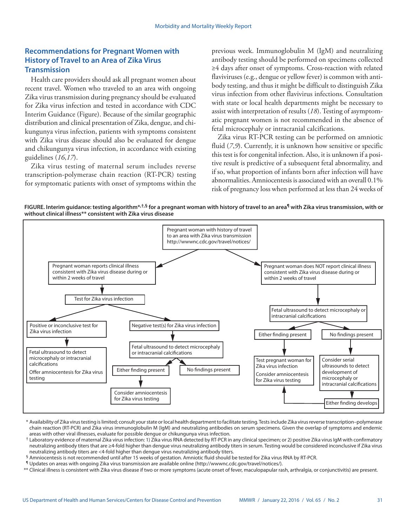### **Recommendations for Pregnant Women with History of Travel to an Area of Zika Virus Transmission**

Health care providers should ask all pregnant women about recent travel. Women who traveled to an area with ongoing Zika virus transmission during pregnancy should be evaluated for Zika virus infection and tested in accordance with CDC Interim Guidance (Figure). Because of the similar geographic distribution and clinical presentation of Zika, dengue, and chikungunya virus infection, patients with symptoms consistent with Zika virus disease should also be evaluated for dengue and chikungunya virus infection, in accordance with existing guidelines (*16*,*17*).

Zika virus testing of maternal serum includes reverse transcription-polymerase chain reaction (RT-PCR) testing for symptomatic patients with onset of symptoms within the previous week. Immunoglobulin M (IgM) and neutralizing antibody testing should be performed on specimens collected ≥4 days after onset of symptoms. Cross-reaction with related flaviviruses (e.g., dengue or yellow fever) is common with antibody testing, and thus it might be difficult to distinguish Zika virus infection from other flavivirus infections. Consultation with state or local health departments might be necessary to assist with interpretation of results (*18*). Testing of asymptomatic pregnant women is not recommended in the absence of fetal microcephaly or intracranial calcifications.

Zika virus RT-PCR testing can be performed on amniotic fluid (*7,9*). Currently, it is unknown how sensitive or specific this test is for congenital infection. Also, it is unknown if a positive result is predictive of a subsequent fetal abnormality, and if so, what proportion of infants born after infection will have abnormalities. Amniocentesis is associated with an overall 0.1% risk of pregnancy loss when performed at less than 24 weeks of

**FIGURE. Interim guidance: testing algorithm\*,†,§ for a pregnant woman with history of travel to an area¶ with Zika virus transmission, with or without clinical illness\*\* consistent with Zika virus disease**



<sup>\*</sup> Availability of Zika virus testing is limited; consult your state or local health department to facilitate testing. Tests include Zika virus reverse transcription–polymerase chain reaction (RT-PCR) and Zika virus immunoglobulin M (IgM) and neutralizing antibodies on serum specimens. Given the overlap of symptoms and endemic areas with other viral illnesses, evaluate for possible dengue or chikungunya virus infection.

\*\* Clinical illness is consistent with Zika virus disease if two or more symptoms (acute onset of fever, maculopapular rash, arthralgia, or conjunctivitis) are present.

 $^{\dagger}$  Laboratory evidence of maternal Zika virus infection: 1) Zika virus RNA detected by RT-PCR in any clinical specimen; or 2) positive Zika virus IgM with confirmatory neutralizing antibody titers that are ≥4-fold higher than dengue virus neutralizing antibody titers in serum. Testing would be considered inconclusive if Zika virus neutralizing antibody titers are <4-fold higher than dengue virus neutralizing antibody titers.

<sup>§</sup> Amniocentesis is not recommended until after 15 weeks of gestation. Amniotic fluid should be tested for Zika virus RNA by RT-PCR.

<sup>¶</sup> Updates on areas with ongoing Zika virus transmission are available online ([http://wwwnc.cdc.gov/travel/notices/\)](http://wwwnc.cdc.gov/travel/notices/).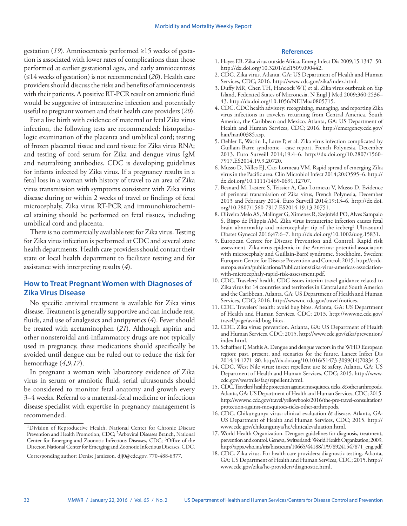gestation (*19*). Amniocentesis performed ≥15 weeks of gestation is associated with lower rates of complications than those performed at earlier gestational ages, and early amniocentesis (≤14 weeks of gestation) is not recommended (*20*). Health care providers should discuss the risks and benefits of amniocentesis with their patients. A positive RT-PCR result on amniotic fluid would be suggestive of intrauterine infection and potentially useful to pregnant women and their health care providers (*20*).

For a live birth with evidence of maternal or fetal Zika virus infection, the following tests are recommended: histopathologic examination of the placenta and umbilical cord; testing of frozen placental tissue and cord tissue for Zika virus RNA; and testing of cord serum for Zika and dengue virus IgM and neutralizing antibodies. CDC is developing guidelines for infants infected by Zika virus. If a pregnancy results in a fetal loss in a woman with history of travel to an area of Zika virus transmission with symptoms consistent with Zika virus disease during or within 2 weeks of travel or findings of fetal microcephaly, Zika virus RT-PCR and immunohistochemical staining should be performed on fetal tissues, including umbilical cord and placenta.

There is no commercially available test for Zika virus. Testing for Zika virus infection is performed at CDC and several state health departments. Health care providers should contact their state or local health department to facilitate testing and for assistance with interpreting results (*4*).

#### **How to Treat Pregnant Women with Diagnoses of Zika Virus Disease**

No specific antiviral treatment is available for Zika virus disease. Treatment is generally supportive and can include rest, fluids, and use of analgesics and antipyretics (*4*). Fever should be treated with acetaminophen (*21*). Although aspirin and other nonsteroidal anti-inflammatory drugs are not typically used in pregnancy, these medications should specifically be avoided until dengue can be ruled out to reduce the risk for hemorrhage (*4*,*9*,*17*).

In pregnant a woman with laboratory evidence of Zika virus in serum or amniotic fluid, serial ultrasounds should be considered to monitor fetal anatomy and growth every 3–4 weeks. Referral to a maternal-fetal medicine or infectious disease specialist with expertise in pregnancy management is recommended.

#### **References**

- 1. Hayes EB. Zika virus outside Africa. Emerg Infect Dis 2009;15:1347–50. <http://dx.doi.org/10.3201/eid1509.090442>.
- 2. CDC. Zika virus. Atlanta, GA: US Department of Health and Human Services, CDC; 2016. [http://www.cdc.gov/zika/index.html](ttp://www.cdc.gov/zika/index.html).
- 3. Duffy MR, Chen TH, Hancock WT, et al. Zika virus outbreak on Yap Island, Federated States of Micronesia. N Engl J Med 2009;360:2536– 43. <http://dx.doi.org/10.1056/NEJMoa0805715>.
- 4. CDC. CDC health advisory: recognizing, managing, and reporting Zika virus infections in travelers returning from Central America, South America, the Caribbean and Mexico. Atlanta, GA: US Department of Health and Human Services, CDC; 2016. [http://emergency.cdc.gov/](http://emergency.cdc.gov/han/han00385.asp) [han/han00385.asp.](http://emergency.cdc.gov/han/han00385.asp)
- 5. Oehler E, Watrin L, Larre P, et al. Zika virus infection complicated by Guillain-Barre syndrome—case report, French Polynesia, December 2013. Euro Surveill 2014;19:4–6. [http://dx.doi.org/10.2807/1560-](http://dx.doi.org/10.2807/1560-7917.ES2014.19.9.20720) [7917.ES2014.19.9.20720.](http://dx.doi.org/10.2807/1560-7917.ES2014.19.9.20720)
- 6. Musso D, Nilles EJ, Cao-Lormeau VM. Rapid spread of emerging Zika virus in the Pacific area. Clin Microbiol Infect 2014;20:O595–6. [http://](http://dx.doi.org/10.1111/1469-0691.12707) [dx.doi.org/10.1111/1469-0691.12707](http://dx.doi.org/10.1111/1469-0691.12707).
- 7. Besnard M, Lastere S, Teissier A, Cao-Lormeau V, Musso D. Evidence of perinatal transmission of Zika virus, French Polynesia, December 2013 and February 2014. Euro Surveill 2014;19:13–6. [http://dx.doi.](http://dx.doi.org/10.2807/1560-7917.ES2014.19.13.20751) [org/10.2807/1560-7917.ES2014.19.13.20751.](http://dx.doi.org/10.2807/1560-7917.ES2014.19.13.20751)
- 8. Oliveira Melo AS, Malinger G, Ximenes R, Szejnfeld PO, Alves Sampaio S, Bispo de Filippis AM. Zika virus intrauterine infection causes fetal brain abnormality and microcephaly: tip of the iceberg? Ultrasound Obstet Gynecol 2016;47:6–7. <http://dx.doi.org/10.1002/uog.15831>.
- 9. European Centre for Disease Prevention and Control. Rapid risk assessment. Zika virus epidemic in the Americas: potential association with microcephaly and Guillain-Barré syndrome. Stockholm, Sweden: European Centre for Disease Prevention and Control; 2015. [http://ecdc.](http://ecdc.europa.eu/en/publications/Publications/zika-virus-americas-association-with-microcephaly-rapid-risk-assessment.pdf) [europa.eu/en/publications/Publications/zika-virus-americas-association](http://ecdc.europa.eu/en/publications/Publications/zika-virus-americas-association-with-microcephaly-rapid-risk-assessment.pdf)[with-microcephaly-rapid-risk-assessment.pdf](http://ecdc.europa.eu/en/publications/Publications/zika-virus-americas-association-with-microcephaly-rapid-risk-assessment.pdf).
- 10. CDC. Travelers' health. CDC issues interim travel guidance related to Zika virus for 14 countries and territories in Central and South America and the Caribbean. Atlanta, GA: US Department of Health and Human Services, CDC; 2016. [http://wwwnc.cdc.gov/travel/notices.](http://wwwnc.cdc.gov/travel/notices)
- 11. CDC. Travelers' health: avoid bug bites. Atlanta, GA: US Department of Health and Human Services, CDC; 2013. [http://wwwnc.cdc.gov/](http://wwwnc.cdc.gov/travel/page/avoid-bug-bites) [travel/page/avoid-bug-bites](http://wwwnc.cdc.gov/travel/page/avoid-bug-bites).
- 12. CDC. Zika virus: prevention. Atlanta, GA: US Department of Health and Human Services, CDC; 2015. [http://www.cdc.gov/zika/prevention/](http://www.cdc.gov/zika/prevention/index.html) [index.html](http://www.cdc.gov/zika/prevention/index.html).
- 13. Schaffner F, Mathis A. Dengue and dengue vectors in the WHO European region: past, present, and scenarios for the future. Lancet Infect Dis 2014;14:1271–80. [http://dx.doi.org/10.1016/S1473-3099\(14\)70834-5.](http://dx.doi.org/10.1016/S1473-3099(14)70834-5)
- 14. CDC. West Nile virus: insect repellent use & safety. Atlanta, GA: US Department of Health and Human Services, CDC; 2015. [http://www.](http://www.cdc.gov/westnile/faq/repellent.html) [cdc.gov/westnile/faq/repellent.html.](http://www.cdc.gov/westnile/faq/repellent.html)
- 15. CDC. Travelers' health: protection against mosquitoes, ticks, & other arthropods. Atlanta, GA: US Department of Health and Human Services, CDC; 2015. [http://wwwnc.cdc.gov/travel/yellowbook/2016/the-pre-travel-consultation/](http://wwwnc.cdc.gov/travel/yellowbook/2016/the-pre-travel-consultation/protection-against-mosquitoes-ticks-other-arthropods) [protection-against-mosquitoes-ticks-other-arthropods.](http://wwwnc.cdc.gov/travel/yellowbook/2016/the-pre-travel-consultation/protection-against-mosquitoes-ticks-other-arthropods)
- 16. CDC. Chikungunya virus: clinical evaluation & disease. Atlanta, GA: US Department of Health and Human Services, CDC; 2015. [http://](http://www.cdc.gov/chikungunya/hc/clinicalevaluation.html) [www.cdc.gov/chikungunya/hc/clinicalevaluation.html](http://www.cdc.gov/chikungunya/hc/clinicalevaluation.html).
- 17. World Health Organization. Dengue: guidelines for diagnosis, treatment, prevention and control. Geneva, Switzerland: World Health Organization; 2009. [http://apps.who.int/iris/bitstream/10665/44188/1/9789241547871\\_eng.pdf.](http://apps.who.int/iris/bitstream/10665/44188/1/9789241547871_eng.pdf)
- 18. CDC. Zika virus. For health care providers: diagnostic testing. Atlanta, GA: US Department of Health and Human Services, CDC; 2015. [http://](http://www.cdc.gov/zika/hc-providers/diagnostic.html) [www.cdc.gov/zika/hc-providers/diagnostic.html](http://www.cdc.gov/zika/hc-providers/diagnostic.html).

<sup>&</sup>lt;sup>1</sup>Division of Reproductive Health, National Center for Chronic Disease Prevention and Health Promotion, CDC; 2Arboviral Diseases Branch, National Center for Emerging and Zoonotic Infectious Diseases, CDC; 3Office of the Director, National Center for Emerging and Zoonotic Infectious Diseases, CDC.

Corresponding author: Denise Jamieson, [djj0@cdc.gov](mailto:djj0@cdc.gov), 770-488-6377.